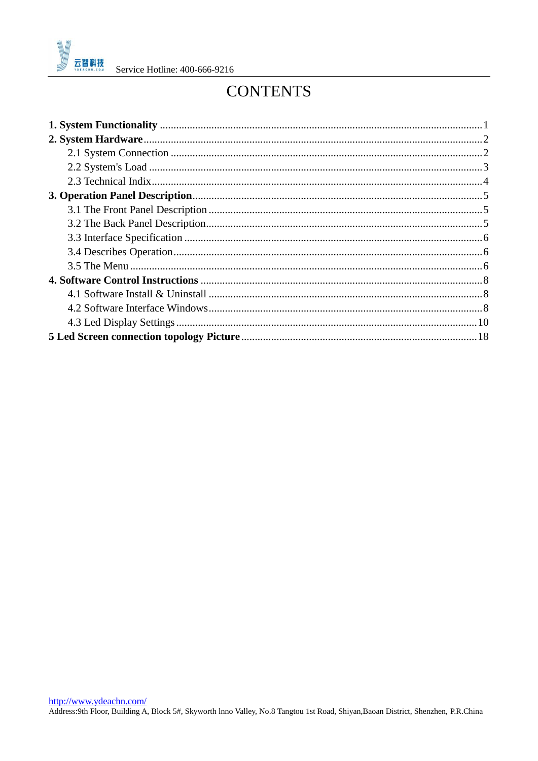

# **CONTENTS**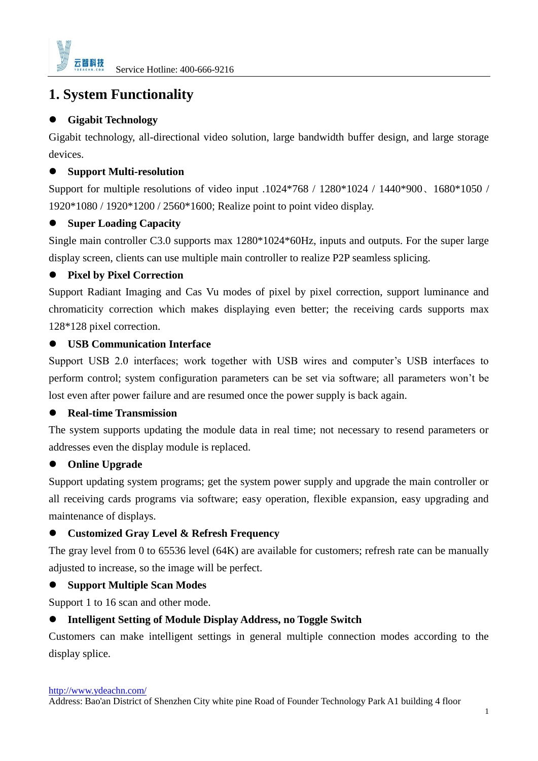

# <span id="page-1-0"></span>**1. System Functionality**

### **Gigabit Technology**

Gigabit technology, all-directional video solution, large bandwidth buffer design, and large storage devices.

### **Support Multi-resolution**

Support for multiple resolutions of video input .1024\*768 / 1280\*1024 / 1440\*900、1680\*1050 / 1920\*1080 / 1920\*1200 / 2560\*1600; Realize point to point video display.

### $\bullet$  Super Loading Capacity

Single main controller C3.0 supports max 1280\*1024\*60Hz, inputs and outputs. For the super large display screen, clients can use multiple main controller to realize P2P seamless splicing.

### **Pixel by Pixel Correction**

Support Radiant Imaging and Cas Vu modes of pixel by pixel correction, support luminance and chromaticity correction which makes displaying even better; the receiving cards supports max 128\*128 pixel correction.

### **USB Communication Interface**

Support USB 2.0 interfaces; work together with USB wires and computer's USB interfaces to perform control; system configuration parameters can be set via software; all parameters won't be lost even after power failure and are resumed once the power supply is back again.

### **Real-time Transmission**

The system supports updating the module data in real time; not necessary to resend parameters or addresses even the display module is replaced.

## **Online Upgrade**

Support updating system programs; get the system power supply and upgrade the main controller or all receiving cards programs via software; easy operation, flexible expansion, easy upgrading and maintenance of displays.

### **Customized Gray Level & Refresh Frequency**

The gray level from 0 to 65536 level (64K) are available for customers; refresh rate can be manually adjusted to increase, so the image will be perfect.

### **Support Multiple Scan Modes**

Support 1 to 16 scan and other mode.

### **Intelligent Setting of Module Display Address, no Toggle Switch**

Customers can make intelligent settings in general multiple connection modes according to the display splice.

<http://www.ydeachn.com/>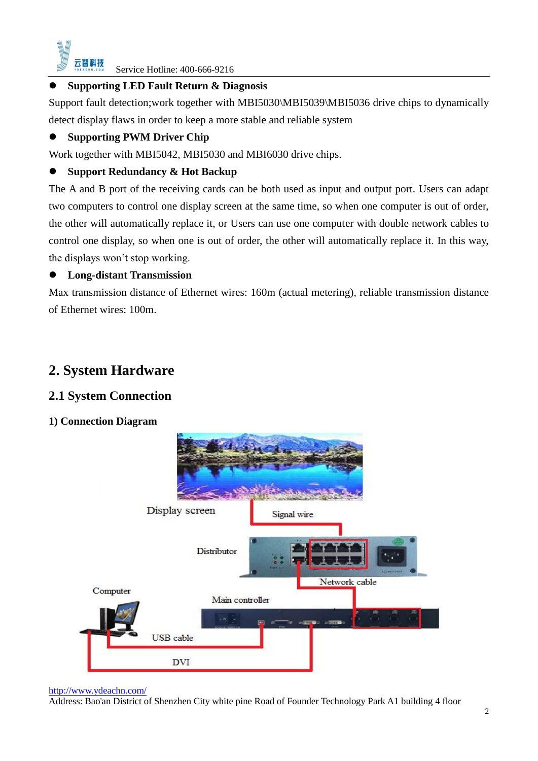

### **Supporting LED Fault Return & Diagnosis**

Support fault detection; work together with MBI5030\MBI5039\MBI5036 drive chips to dynamically detect display flaws in order to keep a more stable and reliable system

### $\bullet$  Supporting PWM Driver Chip

Work together with MBI5042, MBI5030 and MBI6030 drive chips.

### **Support Redundancy & Hot Backup**

The A and B port of the receiving cards can be both used as input and output port. Users can adapt two computers to control one display screen at the same time, so when one computer is out of order, the other will automatically replace it, or Users can use one computer with double network cables to control one display, so when one is out of order, the other will automatically replace it. In this way, the displays won't stop working.

### **Long-distant Transmission**

Max transmission distance of Ethernet wires: 160m (actual metering), reliable transmission distance of Ethernet wires: 100m.

# <span id="page-2-0"></span>**2. System Hardware**

## <span id="page-2-1"></span>**2.1 System Connection**

### **1) Connection Diagram**



#### <http://www.ydeachn.com/>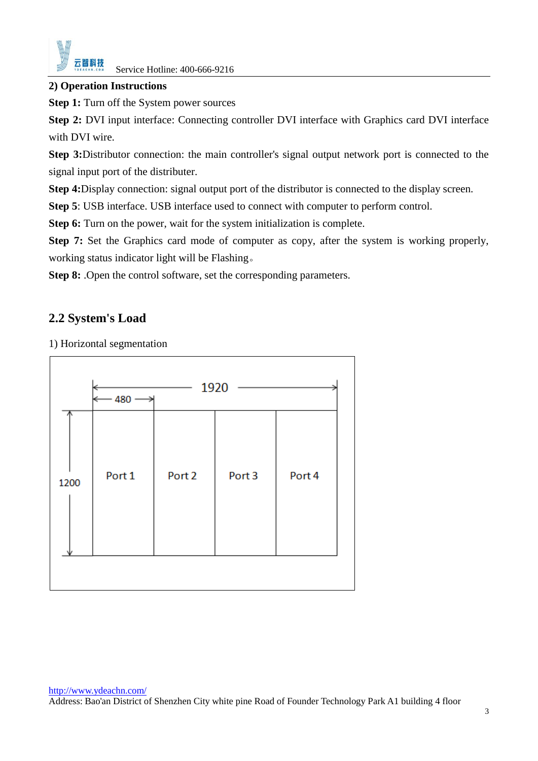

#### **2) Operation Instructions**

**Step 1:** Turn off the System power sources

**Step 2:** DVI input interface: Connecting controller DVI interface with Graphics card DVI interface with DVI wire.

**Step 3:**Distributor connection: the main controller's signal output network port is connected to the signal input port of the distributer.

**Step 4:**Display connection: signal output port of the distributor is connected to the display screen.

**Step 5**: USB interface. USB interface used to connect with computer to perform control.

**Step 6:** Turn on the power, wait for the system initialization is complete.

**Step 7:** Set the Graphics card mode of computer as copy, after the system is working properly, working status indicator light will be Flashing。

**Step 8:** .Open the control software, set the corresponding parameters.

## <span id="page-3-0"></span>**2.2 System's Load**

1) Horizontal segmentation

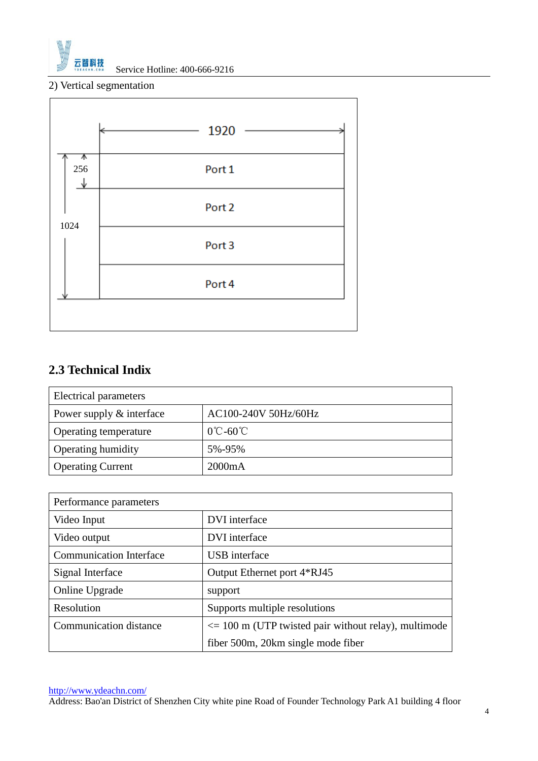

2) Vertical segmentation



# <span id="page-4-0"></span>**2.3 Technical Indix**

| Electrical parameters    |                               |  |  |  |
|--------------------------|-------------------------------|--|--|--|
| Power supply & interface | AC100-240V 50Hz/60Hz          |  |  |  |
| Operating temperature    | $0^{\circ}$ C-60 $^{\circ}$ C |  |  |  |
| Operating humidity       | 5%-95%                        |  |  |  |
| <b>Operating Current</b> | 2000mA                        |  |  |  |

| Performance parameters         |                                                                |  |
|--------------------------------|----------------------------------------------------------------|--|
| Video Input                    | DVI interface                                                  |  |
| Video output                   | DVI interface                                                  |  |
| <b>Communication Interface</b> | <b>USB</b> interface                                           |  |
| Signal Interface               | Output Ethernet port 4*RJ45                                    |  |
| Online Upgrade                 | support                                                        |  |
| Resolution                     | Supports multiple resolutions                                  |  |
| <b>Communication distance</b>  | $\epsilon$ = 100 m (UTP twisted pair without relay), multimode |  |
|                                | fiber 500m, 20km single mode fiber                             |  |

<http://www.ydeachn.com/>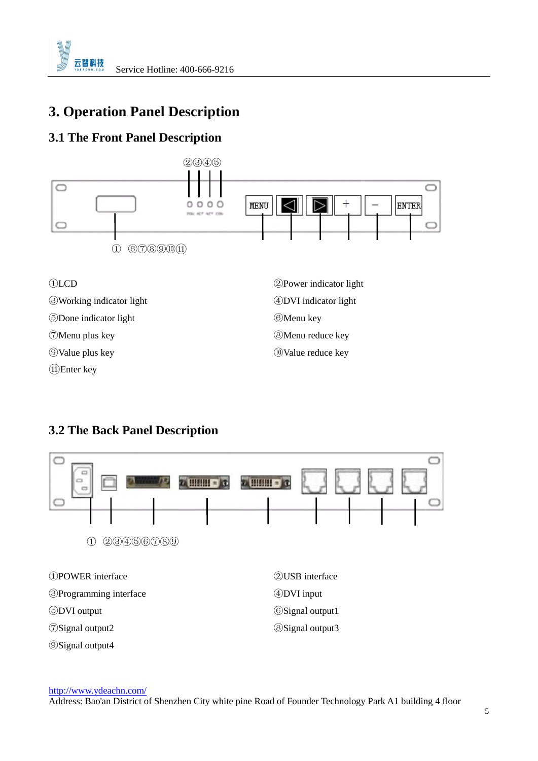

# <span id="page-5-0"></span>**3. Operation Panel Description**

# <span id="page-5-1"></span>**3.1 The Front Panel Description**



# <span id="page-5-2"></span>**3.2 The Back Panel Description**



<http://www.ydeachn.com/>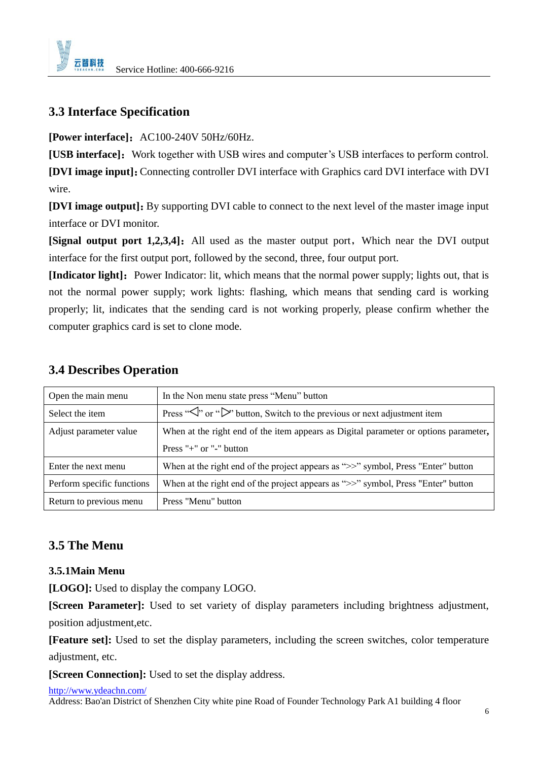

# <span id="page-6-0"></span>**3.3 Interface Specification**

**[Power interface]:** AC100-240V 50Hz/60Hz.

**[USB interface]:** Work together with USB wires and computer's USB interfaces to perform control.

**[DVI image input]**:Connecting controller DVI interface with Graphics card DVI interface with DVI wire.

**[DVI image output]:** By supporting DVI cable to connect to the next level of the master image input interface or DVI monitor.

**[Signal output port 1,2,3,4]:** All used as the master output port, Which near the DVI output interface for the first output port, followed by the second, three, four output port.

**[Indicator light]:** Power Indicator: lit, which means that the normal power supply; lights out, that is not the normal power supply; work lights: flashing, which means that sending card is working properly; lit, indicates that the sending card is not working properly, please confirm whether the computer graphics card is set to clone mode.

| Open the main menu         | In the Non menu state press "Menu" button                                                                 |
|----------------------------|-----------------------------------------------------------------------------------------------------------|
| Select the item            | Press " $\langle \cdot \rangle$ " or " $\rangle$ " button, Switch to the previous or next adjustment item |
| Adjust parameter value     | When at the right end of the item appears as Digital parameter or options parameter,                      |
|                            | Press " $+$ " or " $-$ " button                                                                           |
| Enter the next menu        | When at the right end of the project appears as ">>" symbol, Press "Enter" button                         |
| Perform specific functions | When at the right end of the project appears as ">>" symbol, Press "Enter" button                         |
| Return to previous menu    | Press "Menu" button                                                                                       |

### <span id="page-6-1"></span>**3.4 Describes Operation**

## <span id="page-6-2"></span>**3.5 The Menu**

### **3.5.1Main Menu**

**[LOGO]:** Used to display the company LOGO.

**[Screen Parameter]:** Used to set variety of display parameters including brightness adjustment, position adjustment,etc.

**[Feature set]:** Used to set the display parameters, including the screen switches, color temperature adjustment, etc.

**[Screen Connection]:** Used to set the display address.

#### <http://www.ydeachn.com/>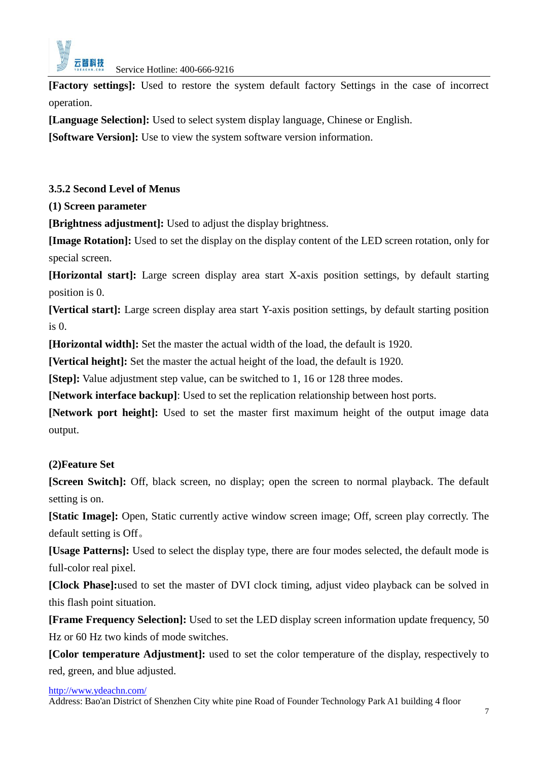

**[Factory settings]:** Used to restore the system default factory Settings in the case of incorrect operation.

**[Language Selection]:** Used to select system display language, Chinese or English.

**[Software Version]:** Use to view the system software version information.

### **3.5.2 Second Level of Menus**

**(1) Screen parameter**

**[Brightness adjustment]:** Used to adjust the display brightness.

**[Image Rotation]:** Used to set the display on the display content of the LED screen rotation, only for special screen.

**[Horizontal start]:** Large screen display area start X-axis position settings, by default starting position is 0.

**[Vertical start]:** Large screen display area start Y-axis position settings, by default starting position is 0.

**[Horizontal width]:** Set the master the actual width of the load, the default is 1920.

**[Vertical height]:** Set the master the actual height of the load, the default is 1920.

**[Step]:** Value adjustment step value, can be switched to 1, 16 or 128 three modes.

**[Network interface backup]**: Used to set the replication relationship between host ports.

**[Network port height]:** Used to set the master first maximum height of the output image data output.

### **(2)Feature Set**

**[Screen Switch]:** Off, black screen, no display; open the screen to normal playback. The default setting is on.

**[Static Image]:** Open, Static currently active window screen image; Off, screen play correctly. The default setting is Off。

**[Usage Patterns]:** Used to select the display type, there are four modes selected, the default mode is full-color real pixel.

**[Clock Phase]:**used to set the master of DVI clock timing, adjust video playback can be solved in this flash point situation.

**[Frame Frequency Selection]:** Used to set the LED display screen information update frequency, 50 Hz or 60 Hz two kinds of mode switches.

**[Color temperature Adjustment]:** used to set the color temperature of the display, respectively to red, green, and blue adjusted.

<http://www.ydeachn.com/>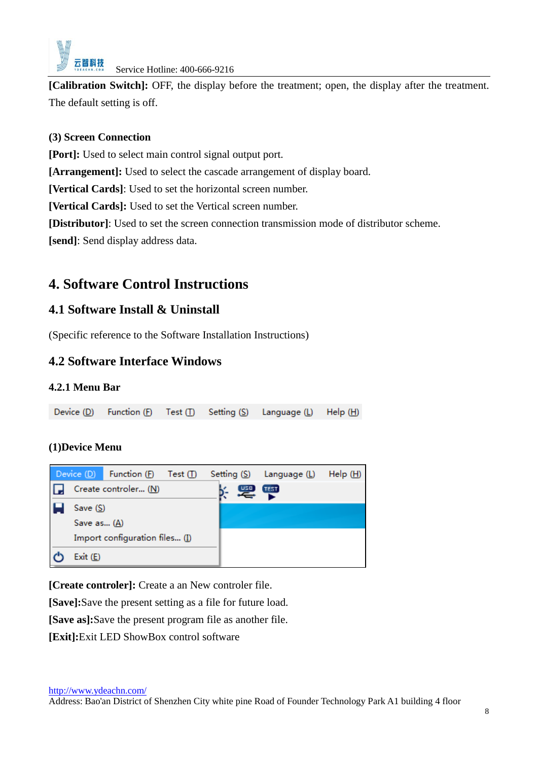

**[Calibration Switch]:** OFF, the display before the treatment; open, the display after the treatment. The default setting is off.

### **(3) Screen Connection**

**[Port]:** Used to select main control signal output port.

**[Arrangement]:** Used to select the cascade arrangement of display board.

**[Vertical Cards]**: Used to set the horizontal screen number.

**[Vertical Cards]:** Used to set the Vertical screen number.

**[Distributor]**: Used to set the screen connection transmission mode of distributor scheme.

**[send]**: Send display address data.

# <span id="page-8-0"></span>**4. Software Control Instructions**

# <span id="page-8-1"></span>**4.1 Software Install & Uninstall**

(Specific reference to the Software Installation Instructions)

# <span id="page-8-2"></span>**4.2 Software Interface Windows**

### **4.2.1 Menu Bar**

Device (D) Function (F) Setting (S) Test  $(1)$ Language (L)  $\mathsf{Help}(\mathsf{H})$ 

### **(1)Device Menu**



**[Create controler]:** Create a an New controler file.

**[Save]:**Save the present setting as a file for future load.

**[Save as]:**Save the present program file as another file.

**[Exit]:**Exit LED ShowBox control software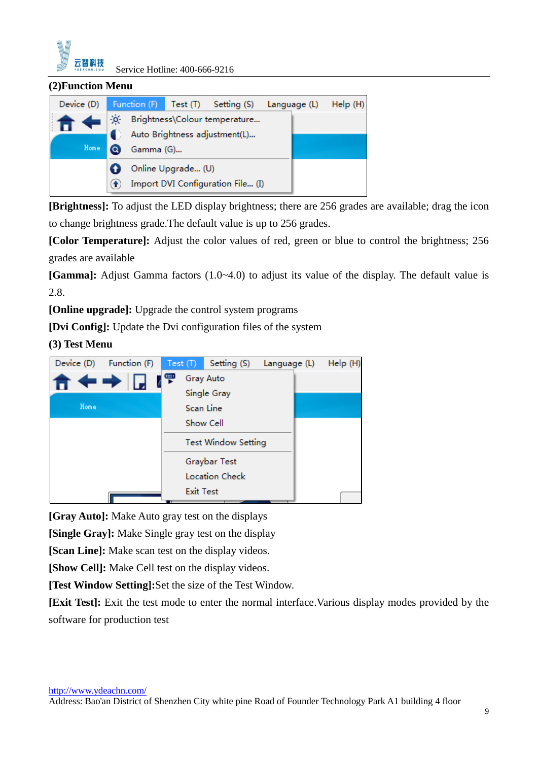

#### **(2)Function Menu**

| Device (D) |      | Function (F)                  | Test (T)           | Setting (S)                       | Language (L) | Help(H) |
|------------|------|-------------------------------|--------------------|-----------------------------------|--------------|---------|
|            | -jó- |                               |                    | Brightness\Colour temperature     |              |         |
|            |      | Auto Brightness adjustment(L) |                    |                                   |              |         |
| Home       | a    | Gamma (G)                     |                    |                                   |              |         |
|            |      |                               | Online Upgrade (U) |                                   |              |         |
|            |      |                               |                    | Import DVI Configuration File (I) |              |         |
|            |      |                               |                    |                                   |              |         |

**[Brightness]:** To adjust the LED display brightness; there are 256 grades are available; drag the icon to change brightness grade.The default value is up to 256 grades.

**[Color Temperature]:** Adjust the color values of red, green or blue to control the brightness; 256 grades are available

**[Gamma]:** Adjust Gamma factors (1.0~4.0) to adjust its value of the display. The default value is 2.8.

**[Online upgrade]:** Upgrade the control system programs

**[Dvi Config]:** Update the Dvi configuration files of the system

### **(3) Test Menu**



**[Gray Auto]:** Make Auto gray test on the displays

**[Single Gray]:** Make Single gray test on the display

**[Scan Line]:** Make scan test on the display videos.

**[Show Cell]:** Make Cell test on the display videos.

**[Test Window Setting]:**Set the size of the Test Window.

**[Exit Test]:** Exit the test mode to enter the normal interface.Various display modes provided by the software for production test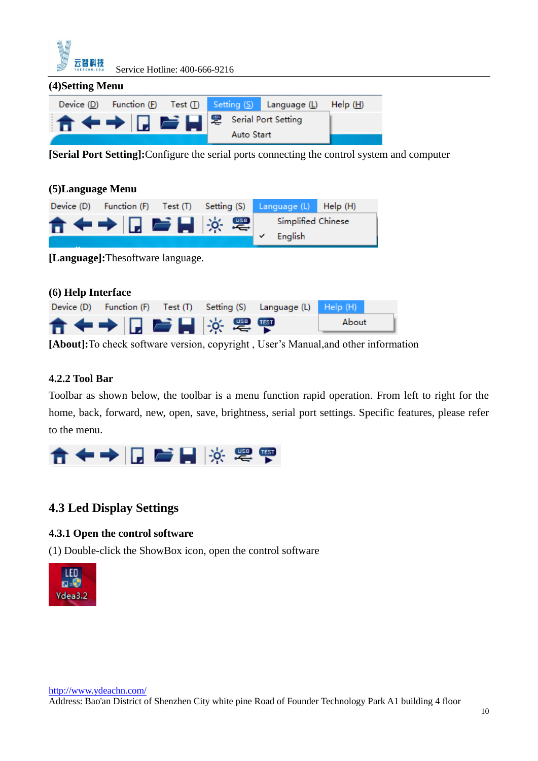

| (4) Setting Menu |                                                                     |  |                   |                                                           |         |
|------------------|---------------------------------------------------------------------|--|-------------------|-----------------------------------------------------------|---------|
|                  |                                                                     |  |                   | Device (D) Function (F) Test (T) Setting (S) Language (L) | Help(H) |
|                  | <b>T</b> $\leftrightarrow$ $\Box$ $\bullet$ $\Box$ $\otimes$ $\Box$ |  |                   |                                                           |         |
|                  |                                                                     |  | <b>Auto Start</b> |                                                           |         |

**[Serial Port Setting]:**Configure the serial ports connecting the control system and computer

| (5) Language Menu |                                   |          |             |                               |         |
|-------------------|-----------------------------------|----------|-------------|-------------------------------|---------|
| Device (D)        | Function (F)                      | Test (T) | Setting (S) | Language (L)                  | Help(H) |
|                   | 合◆→ □ 髻目 ※ 零                      |          |             | Simplified Chinese<br>English |         |
|                   | [Language]: Thesoftware language. |          |             |                               |         |

| (6) Help Interface |               |  |                                                                    |       |
|--------------------|---------------|--|--------------------------------------------------------------------|-------|
|                    |               |  | Device (D) Function (F) Test (T) Setting (S) Language (L) Help (H) |       |
|                    | 合◆→ 同 髻目 ※ 零零 |  |                                                                    | About |

**[About]:**To check software version, copyright , User's Manual,and other information

### **4.2.2 Tool Bar**

Toolbar as shown below, the toolbar is a menu function rapid operation. From left to right for the home, back, forward, new, open, save, brightness, serial port settings. Specific features, please refer to the menu.



# <span id="page-10-0"></span>**4.3 Led Display Settings**

### **4.3.1 Open the control software**

(1) Double-click the ShowBox icon, open the control software

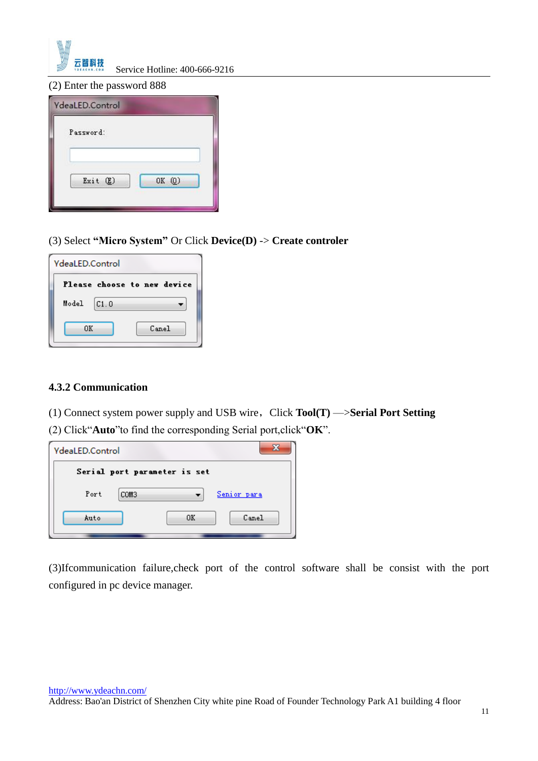

(2) Enter the password 888

| Password: |        |
|-----------|--------|
|           |        |
|           |        |
| Exit (E)  | OK (0) |

(3) Select **"Micro System"** Or Click **Device(D)** -> **Create controler**

| <b>YdeaLED.Control</b> |      |                             |
|------------------------|------|-----------------------------|
|                        |      | Please choose to new device |
| Model                  | C1.0 |                             |
| nκ                     |      | Canel                       |

#### **4.3.2 Communication**

(1) Connect system power supply and USB wire,Click **Tool(T)** —>**Serial Port Setting** (2) Click"**Auto**"to find the corresponding Serial port,click"**OK**".

| YdeaLED.Control |                              |             |       |
|-----------------|------------------------------|-------------|-------|
|                 | Serial port parameter is set |             |       |
| Port            | COM3                         | Senior para |       |
| Auto            |                              | OΚ          | Canel |
|                 |                              |             |       |

(3)Ifcommunication failure,check port of the control software shall be consist with the port configured in pc device manager.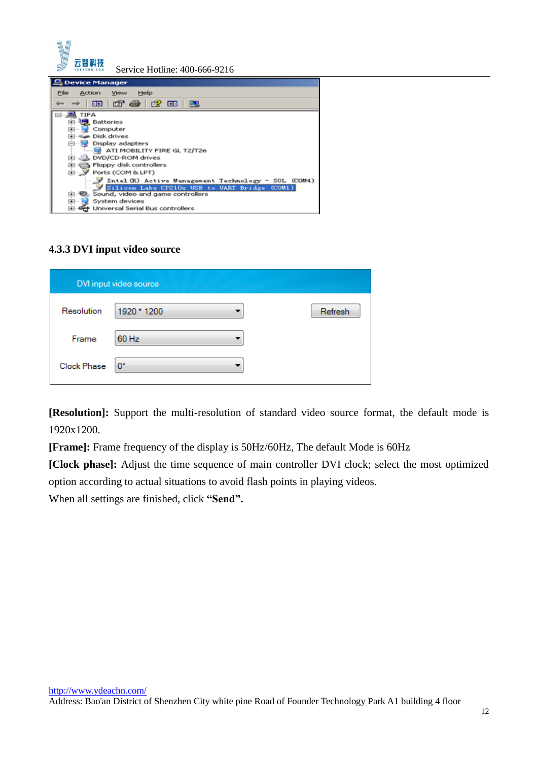

| $\mathbf{E}$<br>Batteries<br><b>PERSONAL PROPERTY</b><br>Computer<br>FilmSide Disk drives<br>白…号<br>Display adapters<br>ATI MOBILITY FIRE GL T2/T2e<br>由 2 DVD/CD-ROM drives<br>图 <b>B</b> Floppy disk controllers<br>田 J Ports (COM & LPT)<br>J Intel (R) Active Management Technology - SOL (COM4)<br>Silicon Labs CP210x USB to UART Bridge (COM1)<br><b>E. D.</b> Sound, video and game controllers<br>System devices<br>[43]…) | TIFA                             |
|-------------------------------------------------------------------------------------------------------------------------------------------------------------------------------------------------------------------------------------------------------------------------------------------------------------------------------------------------------------------------------------------------------------------------------------|----------------------------------|
|                                                                                                                                                                                                                                                                                                                                                                                                                                     |                                  |
|                                                                                                                                                                                                                                                                                                                                                                                                                                     |                                  |
|                                                                                                                                                                                                                                                                                                                                                                                                                                     |                                  |
|                                                                                                                                                                                                                                                                                                                                                                                                                                     |                                  |
|                                                                                                                                                                                                                                                                                                                                                                                                                                     |                                  |
|                                                                                                                                                                                                                                                                                                                                                                                                                                     |                                  |
|                                                                                                                                                                                                                                                                                                                                                                                                                                     |                                  |
|                                                                                                                                                                                                                                                                                                                                                                                                                                     |                                  |
|                                                                                                                                                                                                                                                                                                                                                                                                                                     |                                  |
|                                                                                                                                                                                                                                                                                                                                                                                                                                     |                                  |
|                                                                                                                                                                                                                                                                                                                                                                                                                                     |                                  |
|                                                                                                                                                                                                                                                                                                                                                                                                                                     |                                  |
|                                                                                                                                                                                                                                                                                                                                                                                                                                     | Dhiversal Serial Bus controllers |

### **4.3.3 DVI input video source**

|                    | DVI input video source |         |
|--------------------|------------------------|---------|
| Resolution         | 1920 * 1200            | Refresh |
| Frame              | 60 Hz                  |         |
| <b>Clock Phase</b> | $0^{\circ}$            |         |

**[Resolution]:** Support the multi-resolution of standard video source format, the default mode is 1920x1200.

**[Frame]:** Frame frequency of the display is 50Hz/60Hz, The default Mode is 60Hz

**[Clock phase]:** Adjust the time sequence of main controller DVI clock; select the most optimized option according to actual situations to avoid flash points in playing videos.

When all settings are finished, click **"Send".**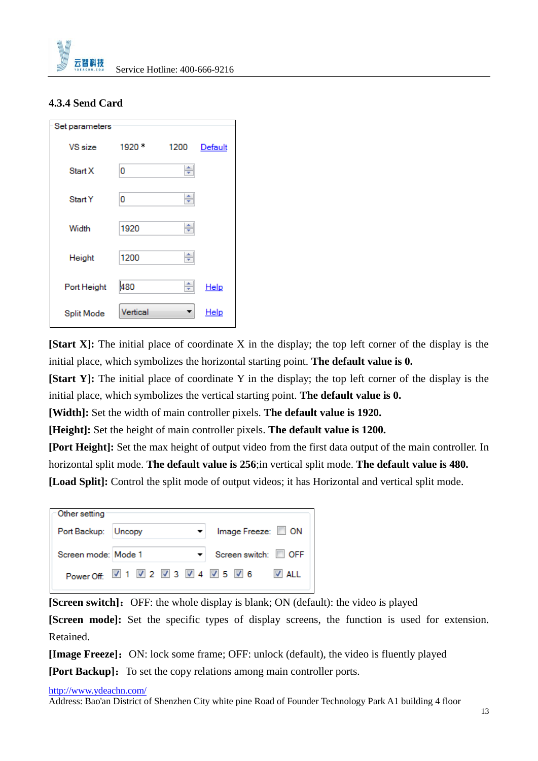

### **4.3.4 Send Card**

| Set parameters |          |      |                |
|----------------|----------|------|----------------|
| VS size        | 1920     | 1200 | <b>Default</b> |
| Start X        | 0        | ÷    |                |
| Start Y        | 0        | ÷    |                |
| Width          | 1920     | ÷    |                |
| Height         | 1200     | ÷    |                |
| Port Height    | 480      | ÷    | Help           |
| Split Mode     | Vertical |      | <u>Help</u>    |

**[Start X]:** The initial place of coordinate X in the display; the top left corner of the display is the initial place, which symbolizes the horizontal starting point. **The default value is 0.**

**[Start Y]:** The initial place of coordinate Y in the display; the top left corner of the display is the initial place, which symbolizes the vertical starting point. **The default value is 0.**

**[Width]:** Set the width of main controller pixels. **The default value is 1920.**

**[Height]:** Set the height of main controller pixels. **The default value is 1200.**

**[Port Height]:** Set the max height of output video from the first data output of the main controller. In horizontal split mode. **The default value is 256**;in vertical split mode. **The default value is 480.**

**[Load Split]:** Control the split mode of output videos; it has Horizontal and vertical split mode.

| Other setting       |                                    |                    |
|---------------------|------------------------------------|--------------------|
| Port Backup: Uncopy |                                    | Image Freeze: CON  |
| Screen mode: Mode 1 |                                    | Screen switch: OFF |
|                     | Power Off: 2 1 2 2 2 3 2 4 2 5 2 6 | $\sqrt{2}$ ALL     |

**[Screen switch]:** OFF: the whole display is blank; ON (default): the video is played

**[Screen mode]:** Set the specific types of display screens, the function is used for extension. Retained.

**[Image Freeze]:** ON: lock some frame; OFF: unlock (default), the video is fluently played

**[Port Backup]:** To set the copy relations among main controller ports.

<http://www.ydeachn.com/>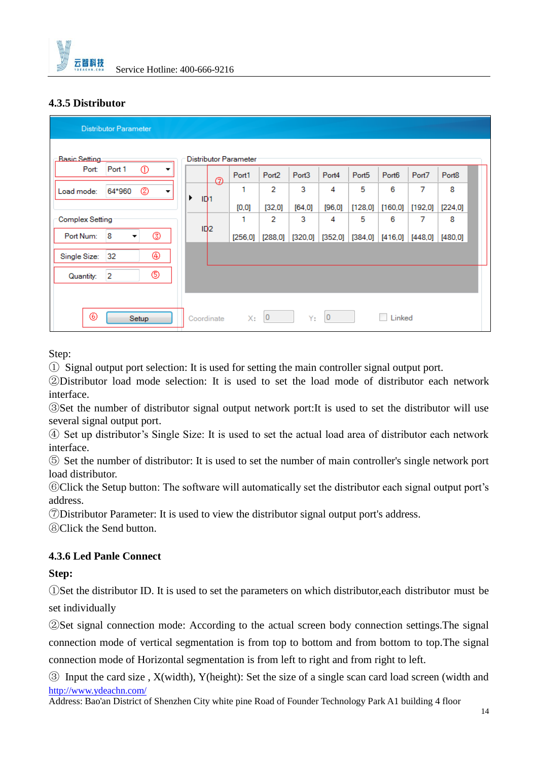

### **4.3.5 Distributor**

| <b>Distributor Parameter</b>         |                      |                       |                   |                   |                |                   |                   |          |                   |
|--------------------------------------|----------------------|-----------------------|-------------------|-------------------|----------------|-------------------|-------------------|----------|-------------------|
| <b>Basic Setting</b>                 |                      | Distributor Parameter |                   |                   |                |                   |                   |          |                   |
| $^\circledR$<br>Port 1<br>Port:<br>▼ |                      | Port1<br>ø            | Port <sub>2</sub> | Port <sub>3</sub> | Port4          | Port <sub>5</sub> | Port <sub>6</sub> | Port7    | Port <sub>8</sub> |
| ☺<br>64*960<br>Load mode:<br>▼       | ▶<br>ID <sub>1</sub> |                       | 2                 | 3                 | 4              | 5                 | 6                 | 7        | 8                 |
|                                      |                      | [0,0]                 | [32,0]            | $[64.0]$          | [96,0]         | [128,0]           | [160, 0]          | [192, 0] | [224, 0]          |
| Complex Setting                      |                      |                       | 2                 | 3                 | 4              | 5                 | 6                 | 7        | 8                 |
| ☺<br>8<br>Port Num:<br>۰             | ID2                  | [256, 0]              | [288, 0]          | [320,0]           | [352,0]        | [384,0]           | [416,0]           | [448, 0] | [480.0]           |
| ⊕<br>Single Size:<br>32              |                      |                       |                   |                   |                |                   |                   |          |                   |
| ۹<br>$\overline{2}$<br>Quantity:     |                      |                       |                   |                   |                |                   |                   |          |                   |
|                                      |                      |                       |                   |                   |                |                   |                   |          |                   |
| ◉<br>Setup                           | Coordinate           | X:                    | $\mathbf 0$       | Y:                | $\overline{0}$ |                   | Linked            |          |                   |

Step:

① Signal output port selection: It is used for setting the main controller signal output port.

②Distributor load mode selection: It is used to set the load mode of distributor each network interface.

③Set the number of distributor signal output network port:It is used to set the distributor will use several signal output port.

④ Set up distributor's Single Size: It is used to set the actual load area of distributor each network interface.

⑤ Set the number of distributor: It is used to set the number of main controller's single network port load distributor.

⑥Click the Setup button: The software will automatically set the distributor each signal output port's address.

⑦Distributor Parameter: It is used to view the distributor signal output port's address.

⑧Click the Send button.

### **4.3.6 Led Panle Connect**

### **Step:**

①Set the distributor ID. It is used to set the parameters on which distributor,each distributor must be set individually

②Set signal connection mode: According to the actual screen body connection settings.The signal connection mode of vertical segmentation is from top to bottom and from bottom to top.The signal connection mode of Horizontal segmentation is from left to right and from right to left.

<http://www.ydeachn.com/> ③ Input the card size , X(width), Y(height): Set the size of a single scan card load screen (width and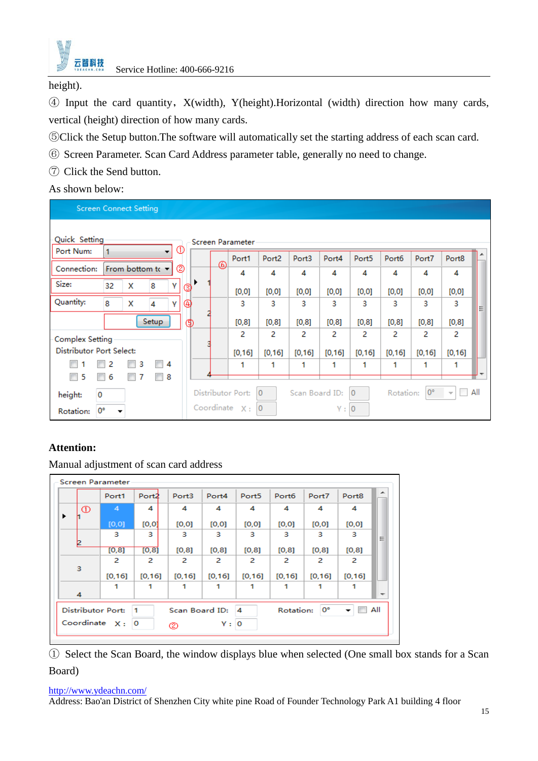

height).

④ Input the card quantity,X(width), Y(height).Horizontal (width) direction how many cards, vertical (height) direction of how many cards.

- ⑤Click the Setup button.The software will automatically set the starting address of each scan card.
- ⑥ Screen Parameter. Scan Card Address parameter table, generally no need to change.
- ⑦ Click the Send button.

As shown below:

|                                 | <b>Screen Connect Setting</b> |   |                  |        |   |                         |                   |                   |         |                |                   |         |                          |     |
|---------------------------------|-------------------------------|---|------------------|--------|---|-------------------------|-------------------|-------------------|---------|----------------|-------------------|---------|--------------------------|-----|
| Quick Setting                   |                               |   |                  | ⊕      |   | <b>Screen Parameter</b> |                   |                   |         |                |                   |         |                          |     |
| Port Num:                       |                               |   |                  |        | ⊛ | Port1                   | Port <sub>2</sub> | Port <sub>3</sub> | Port4   | Port5          | Port <sub>6</sub> | Port7   | Port8                    |     |
| Connection:                     |                               |   | From bottom to v | ℗      |   | 4                       | 4                 | 4                 | 4       | 4              | 4                 | 4       | 4                        |     |
| Size:                           | 32                            | x | 8                | Y<br>☺ |   | [0,0]                   | [0,0]             | [0,0]             | [0,0]   | [0,0]          | [0,0]             | [0, 0]  | [0,0]                    |     |
| Quantity:                       | 8                             | x | 4                | ⊕<br>Y |   | 3                       | 3                 | 3                 | 3       | 3              | 3                 | 3       | 3                        | Ξ   |
|                                 |                               |   | Setup            | டு     |   | [0, 8]                  | [0,8]             | [0,8]             | [0, 8]  | [0, 8]         | [0,8]             | [0, 8]  | [0, 8]                   |     |
| Complex Setting                 |                               |   |                  |        |   | 2                       | 2                 | 2                 | 2       | 2              | 2                 | 2       | 2                        |     |
| <b>Distributor Port Select:</b> |                               |   |                  |        |   | [0, 16]                 | [0, 16]           | [0, 16]           | [0, 16] | [0, 16]        | [0, 16]           | [0, 16] | [0, 16]                  |     |
|                                 | 2                             | 3 | 4                |        |   | 1                       | 1                 | 1                 | 1       | 1              | 1                 | 1       |                          |     |
| 5                               | 6                             |   | 8                |        |   |                         |                   |                   |         |                |                   |         |                          |     |
| height:                         | 0                             |   |                  |        |   | Distributor Port:       | $\overline{0}$    | Scan Board ID:    |         | $\Omega$       | Rotation:         | 0°      | $\overline{\phantom{a}}$ | All |
| Rotation:                       | 0°                            |   |                  |        |   | Coordinate $X:$         |                   |                   | Υ:      | $\overline{0}$ |                   |         |                          |     |

### **Attention:**

Manual adjustment of scan card address

|    |                                                                                                                                    | <b>Screen Parameter</b> |                   |                   |                   |                   |                   |         |                   |   |
|----|------------------------------------------------------------------------------------------------------------------------------------|-------------------------|-------------------|-------------------|-------------------|-------------------|-------------------|---------|-------------------|---|
|    |                                                                                                                                    | Port1                   | Port <sub>2</sub> | Port <sub>3</sub> | Port <sub>4</sub> | Port <sub>5</sub> | Port <sub>6</sub> | Port7   | Port <sub>8</sub> | ┻ |
| ▶  | ⊕                                                                                                                                  | 4                       | 4                 | 4                 | 4                 | 4                 | 4                 | 4       | 4                 |   |
|    |                                                                                                                                    | [0, 0]                  | [0,0]             | [0,0]             | [0,0]             | [0,0]             | [0,0]             | [0,0]   | [0,0]             |   |
| 12 |                                                                                                                                    | 3                       | 3.                | 3                 | 3                 | 3.                | 3                 | 3       | 3                 | Ξ |
|    |                                                                                                                                    | [0, 8]                  | [0, 8]            | [0,8]             | [0, 8]            | [0,8]             | [0,8]             | [0, 8]  | [0,8]             |   |
| 3  |                                                                                                                                    | 2                       | 2                 | 2                 | 2                 | 2                 | 2                 | 2       | 2                 |   |
|    |                                                                                                                                    | [0, 16]                 | [0, 16]           | [0, 16]           | [0, 16]           | [0, 16]           | [0, 16]           | [0, 16] | [0, 16]           |   |
| 4  |                                                                                                                                    |                         |                   |                   |                   |                   |                   |         | 1                 |   |
|    | 0°<br>All<br>Distributor Port:<br>Rotation:<br>4<br>$\blacksquare$<br>Scan Board ID:<br>Coordinate $X:$<br>$\circ$<br>Y:<br>o<br>ల |                         |                   |                   |                   |                   |                   |         |                   |   |

① Select the Scan Board, the window displays blue when selected (One small box stands for a Scan Board)

#### <http://www.ydeachn.com/>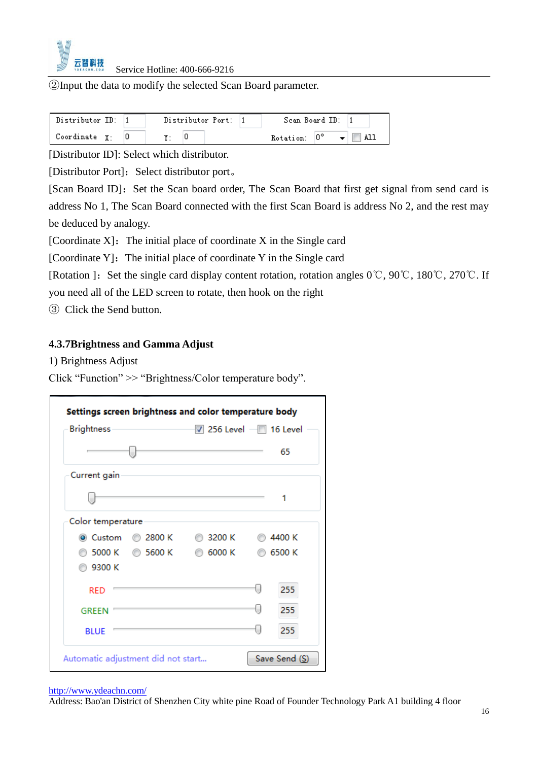

②Input the data to modify the selected Scan Board parameter.

| Distributor ID: | Distributor Port: | Scan Board ID:                               |
|-----------------|-------------------|----------------------------------------------|
| Coordinate Y.   |                   | $\bullet$ $\blacksquare$ All<br>Rotation: 0° |

[Distributor ID]: Select which distributor.

[Distributor Port]: Select distributor port。

[Scan Board ID]: Set the Scan board order, The Scan Board that first get signal from send card is address No 1, The Scan Board connected with the first Scan Board is address No 2, and the rest may be deduced by analogy.

[Coordinate  $X$ ]: The initial place of coordinate  $X$  in the Single card

[Coordinate Y]: The initial place of coordinate Y in the Single card

[Rotation ]: Set the single card display content rotation, rotation angles 0℃, 90℃, 180℃, 270℃. If

you need all of the LED screen to rotate, then hook on the right

③ Click the Send button.

### **4.3.7Brightness and Gamma Adjust**

1) Brightness Adjust

Click "Function" >> "Brightness/Color temperature body".

| <b>Brightness</b>         | $\triangledown$ 256 Level $\blacksquare$ 16 Level |               |
|---------------------------|---------------------------------------------------|---------------|
|                           |                                                   | 65            |
| Current gain              |                                                   |               |
|                           |                                                   |               |
| Color temperature         |                                                   |               |
| ◯ 2800 K<br>◉ Custom      | ◯ 3200 K                                          | <b>64400K</b> |
| ◯ 5000 K<br><b>5600 K</b> | ◎ 6000 K                                          | 6500 K        |
| ◎ 9300 K                  |                                                   |               |
| <b>RED</b>                |                                                   | 255           |
| <b>GREEN</b>              |                                                   | 255           |
| <b>BLUE</b>               |                                                   | 255           |

#### <http://www.ydeachn.com/>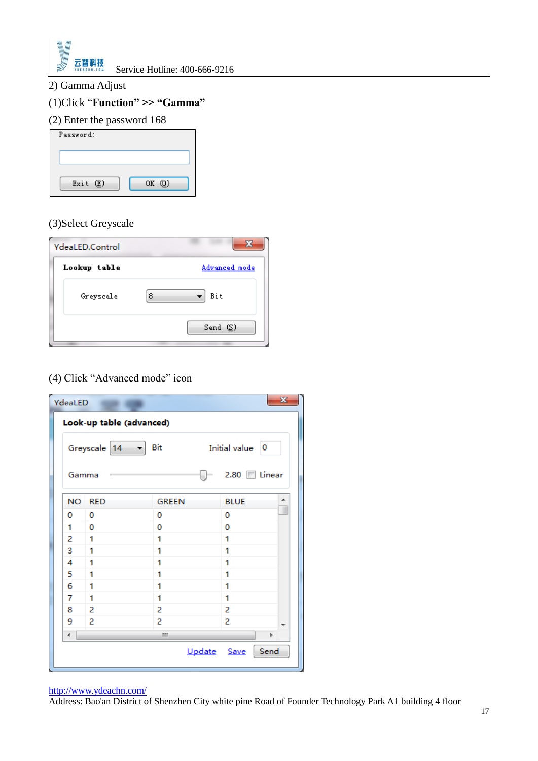

### 2) Gamma Adjust

### (1)Click "**Function" >> "Gamma"**

### (2) Enter the password 168

| Password:  |       |
|------------|-------|
|            |       |
| Exit $(E)$ | 0K(0) |

### (3)Select Greyscale

| <b>YdeaLED.Control</b> | XX.                  |
|------------------------|----------------------|
| Lookup table           | <u>Advanced mode</u> |
| Greyscale              | 8<br>Bit             |
|                        | Send(S)              |

### (4) Click "Advanced mode" icon

| YdeaLED |                                                                               |              | $\mathbf{x}$  |  |  |  |  |
|---------|-------------------------------------------------------------------------------|--------------|---------------|--|--|--|--|
|         | Look-up table (advanced)                                                      |              |               |  |  |  |  |
|         | Bit<br>Greyscale 14 $\rightarrow$<br>Initial value<br>$\overline{\mathbf{0}}$ |              |               |  |  |  |  |
| Gamma   |                                                                               |              | $2.80$ Linear |  |  |  |  |
| NO.     | <b>RED</b>                                                                    | <b>GREEN</b> | <b>BLUE</b>   |  |  |  |  |
| 0       | 0                                                                             | o            | 0             |  |  |  |  |
| 1       | 0                                                                             | 0            | 0             |  |  |  |  |
| 2       | 1                                                                             | 1            | 1             |  |  |  |  |
| 3       | 1                                                                             | 1            | 1             |  |  |  |  |
| 4       | 1                                                                             | 1            | 1             |  |  |  |  |
| 5       | 1                                                                             | 1            | 1             |  |  |  |  |
| 6       | 1                                                                             | 1            | 1             |  |  |  |  |
| 7       | 1                                                                             | 1            | 1             |  |  |  |  |
| 8       | 2                                                                             | 2            | 2             |  |  |  |  |
| g       | 2                                                                             | 2            | 2             |  |  |  |  |
| ∢       |                                                                               | Ш            | þ.            |  |  |  |  |
|         |                                                                               | Update Save  | Send          |  |  |  |  |

#### <http://www.ydeachn.com/>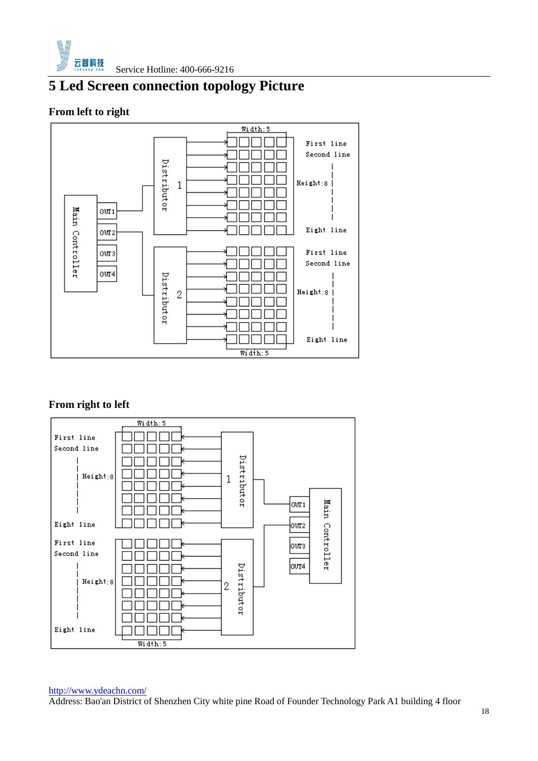

# <span id="page-18-0"></span>**5 Led Screen connection topology Picture**

### **From left to right**



### **From right to left**



#### <http://www.ydeachn.com/>